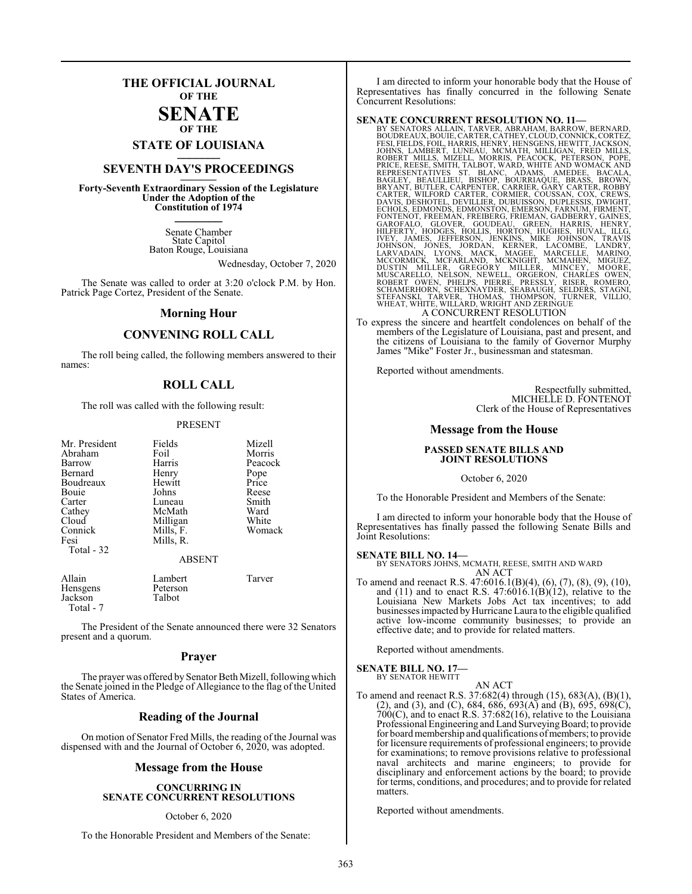# **THE OFFICIAL JOURNAL OF THE**

#### **SENATE OF THE**

**STATE OF LOUISIANA \_\_\_\_\_\_\_**

# **SEVENTH DAY'S PROCEEDINGS \_\_\_\_\_\_\_**

**Forty-Seventh Extraordinary Session of the Legislature Under the Adoption of the Constitution of 1974 \_\_\_\_\_\_\_**

> Senate Chamber State Capitol Baton Rouge, Louisiana

> > Wednesday, October 7, 2020

The Senate was called to order at 3:20 o'clock P.M. by Hon. Patrick Page Cortez, President of the Senate.

#### **Morning Hour**

## **CONVENING ROLL CALL**

The roll being called, the following members answered to their names:

## **ROLL CALL**

The roll was called with the following result:

#### PRESENT

| Mr. President<br>Abraham<br>Barrow<br>Bernard<br>Boudreaux<br>Bouie<br>Carter<br>Cathey<br>Cloud<br>Connick<br>Fesi | Fields<br>Foil<br>Harris<br>Henry<br>Hewitt<br>Johns<br>Luneau<br>McMath<br>Milligan<br>Mills, F.<br>Mills, R. | Mizell<br>Morris<br>Peacock<br>Pope<br>Price<br>Reese<br>Smith<br>Ward<br>White<br>Womack |
|---------------------------------------------------------------------------------------------------------------------|----------------------------------------------------------------------------------------------------------------|-------------------------------------------------------------------------------------------|
| Total - 32                                                                                                          | <b>ABSENT</b>                                                                                                  |                                                                                           |
| $4.11 -$                                                                                                            | $\mathbf{r}$ 1, $\mathbf{r}$                                                                                   | m                                                                                         |

Allain Lambert Tarver<br>Hensgens Peterson Hensgens Petersc<br>Jackson Talbot Jackson Total - 7

The President of the Senate announced there were 32 Senators present and a quorum.

#### **Prayer**

The prayer was offered by Senator Beth Mizell, following which the Senate joined in the Pledge of Allegiance to the flag of the United States of America.

#### **Reading of the Journal**

On motion of Senator Fred Mills, the reading of the Journal was dispensed with and the Journal of October 6, 2020, was adopted.

#### **Message from the House**

#### **CONCURRING IN SENATE CONCURRENT RESOLUTIONS**

#### October 6, 2020

To the Honorable President and Members of the Senate:

I am directed to inform your honorable body that the House of Representatives has finally concurred in the following Senate Concurrent Resolutions:

- **SENATE CONCURRENT RESOLUTION NO. 11—**<br>BY SENATORS ALLAIN, TARVER, ABRAHAM, BARROM, BOUDREAUX, BOULE, CARTER, CATHEY, CLOUD, CONNICK, CORTEZ,<br>FESI, FIELDS, FOIL, HARRIS, HENRY, HENSGENS, HEWITT, JACKSON,<br>JOHNS, LAMBERT, LU
- To express the sincere and heartfelt condolences on behalf of the members of the Legislature of Louisiana, past and present, and the citizens of Louisiana to the family of Governor Murphy James "Mike" Foster Jr., businessman and statesman.

Reported without amendments.

Respectfully submitted, MICHELLE D. FONTENOT Clerk of the House of Representatives

#### **Message from the House**

#### **PASSED SENATE BILLS AND JOINT RESOLUTIONS**

October 6, 2020

To the Honorable President and Members of the Senate:

I am directed to inform your honorable body that the House of Representatives has finally passed the following Senate Bills and Joint Resolutions:

**SENATE BILL NO. 14—** BY SENATORS JOHNS, MCMATH, REESE, SMITH AND WARD AN ACT

To amend and reenact R.S. 47:6016.1(B)(4), (6), (7), (8), (9), (10), and  $(11)$  and to enact R.S. 47:6016.1(B)(12), relative to the Louisiana New Markets Jobs Act tax incentives; to add businesses impacted byHurricane Laura to the eligible qualified active low-income community businesses; to provide an effective date; and to provide for related matters.

Reported without amendments.

# **SENATE BILL NO. 17—**<br>BY SENATOR HEWITT

AN ACT

To amend and reenact R.S. 37:682(4) through (15), 683(A), (B)(1), (2), and (3), and (C), 684, 686, 693(A) and (B), 695, 698(C),  $700(C)$ , and to enact R.S. 37:682(16), relative to the Louisiana Professional Engineering and Land SurveyingBoard; to provide for board membership and qualifications of members; to provide for licensure requirements of professional engineers; to provide for examinations; to remove provisions relative to professional naval architects and marine engineers; to provide for disciplinary and enforcement actions by the board; to provide for terms, conditions, and procedures; and to provide for related matters.

Reported without amendments.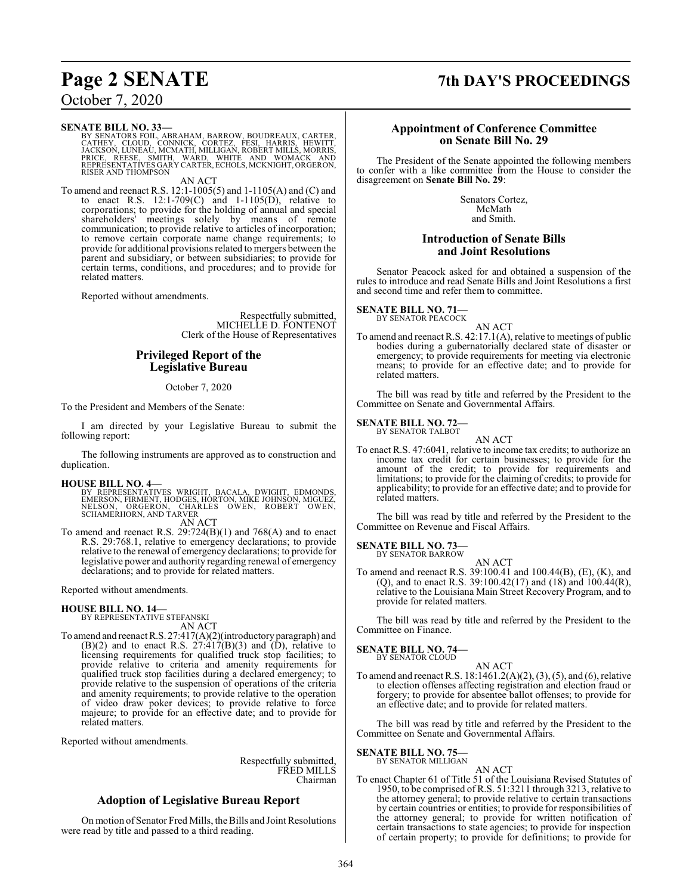# **Page 2 SENATE 7th DAY'S PROCEEDINGS**

## October 7, 2020

#### **SENATE BILL NO. 33—**

BY SENATORS FOIL, ABRAHAM, BARROW, BOUDREAUX, CARTER,<br>CATHEY, CLOUD, CONNICK, CORTEZ, FESI, HARRIS, HEWITT,<br>JACKSON, LUNEAU, MCMATH, MILLIGAN, ROBERT MILLS, MORRIS,<br>PRICE, REESE, SMITH, WARD, WHITE AND WOMACK AND<br>REPRESENT RISER AND THOMPSON

AN ACT

To amend and reenact R.S. 12:1-1005(5) and 1-1105(A) and (C) and to enact R.S.  $12:1-709(C)$  and  $1-1105(D)$ , relative to corporations; to provide for the holding of annual and special shareholders' meetings solely by means of remote communication; to provide relative to articles of incorporation; to remove certain corporate name change requirements; to provide for additional provisions related to mergers between the parent and subsidiary, or between subsidiaries; to provide for certain terms, conditions, and procedures; and to provide for related matters.

Reported without amendments.

Respectfully submitted, MICHELLE D. FONTENOT Clerk of the House of Representatives

#### **Privileged Report of the Legislative Bureau**

October 7, 2020

To the President and Members of the Senate:

I am directed by your Legislative Bureau to submit the following report:

The following instruments are approved as to construction and duplication.

**HOUSE BILL NO. 4—**<br>BY REPRESENTATIVES WRIGHT, BACALA, DWIGHT, EDMONDS,<br>EMERSON, FIRMENT, HODGES, HORTON, MIKE JOHNSON, MIGUEZ,<br>NELSON, ORGERON, CHARLES OWEN, ROBERT OWEN,<br>SCHAMERHORN, AND TARVER AN ACT

To amend and reenact R.S. 29:724(B)(1) and 768(A) and to enact R.S. 29:768.1, relative to emergency declarations; to provide relative to the renewal of emergency declarations; to provide for legislative power and authority regarding renewal of emergency declarations; and to provide for related matters.

Reported without amendments.

# **HOUSE BILL NO. 14—** BY REPRESENTATIVE STEFANSKI

AN ACT

To amend and reenact R.S. 27:417(A)(2)(introductory paragraph) and  $(B)(2)$  and to enact R.S. 27:417 $(B)(3)$  and  $(D)$ , relative to licensing requirements for qualified truck stop facilities; to provide relative to criteria and amenity requirements for qualified truck stop facilities during a declared emergency; to provide relative to the suspension of operations of the criteria and amenity requirements; to provide relative to the operation of video draw poker devices; to provide relative to force majeure; to provide for an effective date; and to provide for related matters.

Reported without amendments.

Respectfully submitted, FRED MILLS Chairman

### **Adoption of Legislative Bureau Report**

On motion of Senator Fred Mills, the Bills and Joint Resolutions were read by title and passed to a third reading.

#### **Appointment of Conference Committee on Senate Bill No. 29**

The President of the Senate appointed the following members to confer with a like committee from the House to consider the disagreement on **Senate Bill No. 29**:

> Senators Cortez, McMath and Smith.

#### **Introduction of Senate Bills and Joint Resolutions**

Senator Peacock asked for and obtained a suspension of the rules to introduce and read Senate Bills and Joint Resolutions a first and second time and refer them to committee.

#### **SENATE BILL NO. 71—**

BY SENATOR PEACOCK

AN ACT To amend and reenact R.S. 42:17.1(A), relative to meetings of public bodies during a gubernatorially declared state of disaster or emergency; to provide requirements for meeting via electronic means; to provide for an effective date; and to provide for related matters.

The bill was read by title and referred by the President to the Committee on Senate and Governmental Affairs.

#### **SENATE BILL NO. 72—** BY SENATOR TALBOT

AN ACT

To enact R.S. 47:6041, relative to income tax credits; to authorize an income tax credit for certain businesses; to provide for the amount of the credit; to provide for requirements and limitations; to provide for the claiming of credits; to provide for applicability; to provide for an effective date; and to provide for related matters.

The bill was read by title and referred by the President to the Committee on Revenue and Fiscal Affairs.

**SENATE BILL NO. 73—** BY SENATOR BARROW

AN ACT

To amend and reenact R.S. 39:100.41 and 100.44(B), (E), (K), and (Q), and to enact R.S. 39:100.42(17) and (18) and 100.44(R), relative to the Louisiana Main Street Recovery Program, and to provide for related matters.

The bill was read by title and referred by the President to the Committee on Finance.

#### **SENATE BILL NO. 74—** BY SENATOR CLOUD

AN ACT To amend and reenact R.S.  $18:1461.2(A)(2), (3), (5),$  and  $(6)$ , relative to election offenses affecting registration and election fraud or forgery; to provide for absentee ballot offenses; to provide for an effective date; and to provide for related matters.

The bill was read by title and referred by the President to the Committee on Senate and Governmental Affairs.

**SENATE BILL NO. 75—** BY SENATOR MILLIGAN

AN ACT To enact Chapter 61 of Title 51 of the Louisiana Revised Statutes of 1950, to be comprised of R.S. 51:3211 through 3213, relative to the attorney general; to provide relative to certain transactions by certain countries or entities; to provide for responsibilities of the attorney general; to provide for written notification of certain transactions to state agencies; to provide for inspection of certain property; to provide for definitions; to provide for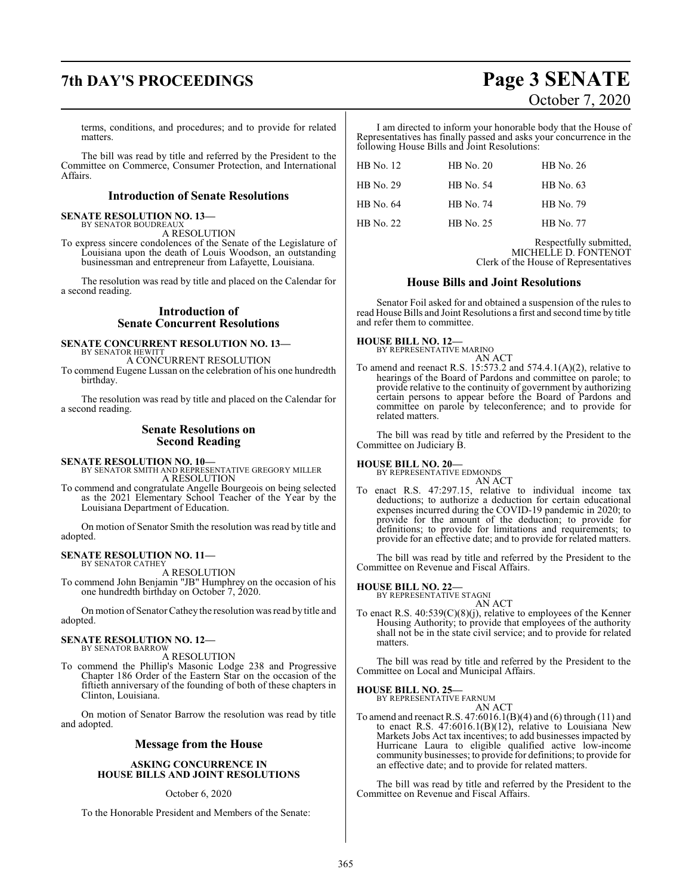# **7th DAY'S PROCEEDINGS Page 3 SENATE**

terms, conditions, and procedures; and to provide for related matters.

The bill was read by title and referred by the President to the Committee on Commerce, Consumer Protection, and International Affairs.

#### **Introduction of Senate Resolutions**

#### **SENATE RESOLUTION NO. 13—**

BY SENATOR BOUDREAUX A RESOLUTION

To express sincere condolences of the Senate of the Legislature of Louisiana upon the death of Louis Woodson, an outstanding businessman and entrepreneur from Lafayette, Louisiana.

The resolution was read by title and placed on the Calendar for a second reading.

#### **Introduction of Senate Concurrent Resolutions**

**SENATE CONCURRENT RESOLUTION NO. 13—** BY SENATOR HEWITT A CONCURRENT RESOLUTION

To commend Eugene Lussan on the celebration of his one hundredth birthday.

The resolution was read by title and placed on the Calendar for a second reading.

#### **Senate Resolutions on Second Reading**

**SENATE RESOLUTION NO. 10—**

BY SENATOR SMITH AND REPRESENTATIVE GREGORY MILLER A RESOLUTION

To commend and congratulate Angelle Bourgeois on being selected as the 2021 Elementary School Teacher of the Year by the Louisiana Department of Education.

On motion of Senator Smith the resolution was read by title and adopted.

# **SENATE RESOLUTION NO. 11—** BY SENATOR CATHEY

A RESOLUTION

To commend John Benjamin "JB" Humphrey on the occasion of his one hundredth birthday on October 7, 2020.

On motion of Senator Cathey the resolution was read by title and adopted.

#### **SENATE RESOLUTION NO. 12—** BY SENATOR BARROW

A RESOLUTION

To commend the Phillip's Masonic Lodge 238 and Progressive Chapter 186 Order of the Eastern Star on the occasion of the fiftieth anniversary of the founding of both of these chapters in Clinton, Louisiana.

On motion of Senator Barrow the resolution was read by title and adopted.

#### **Message from the House**

#### **ASKING CONCURRENCE IN HOUSE BILLS AND JOINT RESOLUTIONS**

#### October 6, 2020

To the Honorable President and Members of the Senate:

# October 7, 2020

I am directed to inform your honorable body that the House of Representatives has finally passed and asks your concurrence in the following House Bills and Joint Resolutions:

| HB No. 12 | <b>HB</b> No. 20 | <b>HB</b> No. 26 |
|-----------|------------------|------------------|
| HB No. 29 | HB No. 54        | HB No. 63        |
| HB No. 64 | HB No. 74        | HB No. 79        |
| HB No. 22 | HB No. 25        | HB No. 77        |

Respectfully submitted, MICHELLE D. FONTENOT Clerk of the House of Representatives

#### **House Bills and Joint Resolutions**

Senator Foil asked for and obtained a suspension of the rules to read House Bills and Joint Resolutions a first and second time by title and refer them to committee.

**HOUSE BILL NO. 12—** BY REPRESENTATIVE MARINO

AN ACT

To amend and reenact R.S. 15:573.2 and 574.4.1(A)(2), relative to hearings of the Board of Pardons and committee on parole; to provide relative to the continuity of government by authorizing certain persons to appear before the Board of Pardons and committee on parole by teleconference; and to provide for related matters.

The bill was read by title and referred by the President to the Committee on Judiciary B.

## **HOUSE BILL NO. 20—**

BY REPRESENTATIVE EDMONDS AN ACT

To enact R.S. 47:297.15, relative to individual income tax deductions; to authorize a deduction for certain educational expenses incurred during the COVID-19 pandemic in 2020; to provide for the amount of the deduction; to provide for definitions; to provide for limitations and requirements; to provide for an effective date; and to provide for related matters.

The bill was read by title and referred by the President to the Committee on Revenue and Fiscal Affairs.

#### **HOUSE BILL NO. 22—**

- BY REPRESENTATIVE STAGNI AN ACT
- To enact R.S. 40:539(C)(8)(j), relative to employees of the Kenner Housing Authority; to provide that employees of the authority shall not be in the state civil service; and to provide for related matters.

The bill was read by title and referred by the President to the Committee on Local and Municipal Affairs.

**HOUSE BILL NO. 25—**

BY REPRESENTATIVE FARNUM AN ACT

To amend and reenact R.S. 47:6016.1(B)(4) and (6) through (11) and to enact R.S. 47:6016.1(B)(12), relative to Louisiana New Markets Jobs Act tax incentives; to add businesses impacted by Hurricane Laura to eligible qualified active low-income community businesses; to provide for definitions; to provide for an effective date; and to provide for related matters.

The bill was read by title and referred by the President to the Committee on Revenue and Fiscal Affairs.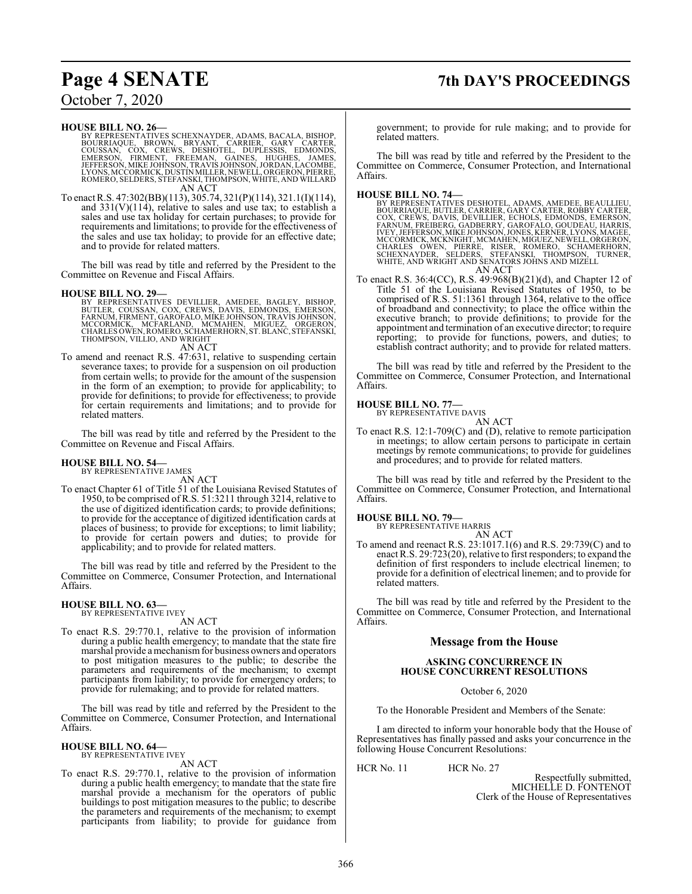# **Page 4 SENATE 7th DAY'S PROCEEDINGS**

## October 7, 2020

#### **HOUSE BILL NO. 26—**

BY REPRESENTATIVES SCHEXNAYDER, ADAMS, BACALA, BISHOP,<br>BOURRIAQUE, BROWN, BRYANT, CARRIER, GARY CARTER,<br>COUSSAN, COX, CREWS, DESHOTEL, DUPLESSIS, EDMONDS,<br>EMERSON, FIRMENT, FREEMAN, GAINES, HUGH LYONS, MCCORMICK, DUSTIN MILLER, NEWELL, ORGERON, PIERRE, ROMERO, SELDERS, STEFANSKI, THOMPSON, WHITE, AND WILLARD AN ACT

To enact R.S. 47:302(BB)(113), 305.74, 321(P)(114), 321.1(I)(114), and  $331(V)(114)$ , relative to sales and use tax; to establish a sales and use tax holiday for certain purchases; to provide for requirements and limitations; to provide for the effectiveness of the sales and use tax holiday; to provide for an effective date; and to provide for related matters.

The bill was read by title and referred by the President to the Committee on Revenue and Fiscal Affairs.

#### **HOUSE BILL NO. 29—**

- BY REPRESENTATIVES DEVILLIER, AMEDEE, BAGLEY, BISHOP,<br>BUTLER, COUSSAN, COX, CREWS, DAVIS, EDMONDS, EMERSON,<br>FARNUM,FIRMENT,GAROFALO,MIKEJOHNSON,TRAVIS JOHNSON,<br>MCCORMICK, MCFARLAND, MCMAHEN, MIGUEZ, ORGERON,<br>CHARLESOWEN,RO THOMPSON, VILLIO, AND WRIGHT AN ACT
- To amend and reenact R.S. 47:631, relative to suspending certain severance taxes; to provide for a suspension on oil production from certain wells; to provide for the amount of the suspension in the form of an exemption; to provide for applicability; to provide for definitions; to provide for effectiveness; to provide for certain requirements and limitations; and to provide for related matters.

The bill was read by title and referred by the President to the Committee on Revenue and Fiscal Affairs.

# **HOUSE BILL NO. 54—** BY REPRESENTATIVE JAMES

AN ACT

To enact Chapter 61 of Title 51 of the Louisiana Revised Statutes of 1950, to be comprised of R.S. 51:3211 through 3214, relative to the use of digitized identification cards; to provide definitions; to provide for the acceptance of digitized identification cards at places of business; to provide for exceptions; to limit liability; to provide for certain powers and duties; to provide for applicability; and to provide for related matters.

The bill was read by title and referred by the President to the Committee on Commerce, Consumer Protection, and International Affairs.

#### **HOUSE BILL NO. 63—** BY REPRESENTATIVE IVEY

AN ACT

To enact R.S. 29:770.1, relative to the provision of information during a public health emergency; to mandate that the state fire marshal provide a mechanism for business owners and operators to post mitigation measures to the public; to describe the parameters and requirements of the mechanism; to exempt participants from liability; to provide for emergency orders; to provide for rulemaking; and to provide for related matters.

The bill was read by title and referred by the President to the Committee on Commerce, Consumer Protection, and International Affairs.

#### **HOUSE BILL NO. 64—** BY REPRESENTATIVE IVEY

AN ACT

To enact R.S. 29:770.1, relative to the provision of information during a public health emergency; to mandate that the state fire marshal provide a mechanism for the operators of public buildings to post mitigation measures to the public; to describe the parameters and requirements of the mechanism; to exempt participants from liability; to provide for guidance from

government; to provide for rule making; and to provide for related matters.

The bill was read by title and referred by the President to the Committee on Commerce, Consumer Protection, and International Affairs.

**HOUSE BILL NO. 74—** BY REPRESENTATIVES DESHOTEL, ADAMS, AMEDEE, BEAULLIEU,<br>BOURRIAQUE, BUTLER, CARRIER, GARY CARTER, ROBBY CARTER,<br>COX, CREWS, DAVIS, DEVILLIER, ECHOLS, EDMONDS, EMERSON,<br>FARNUM, FRÉIBERG, GADBERRY, GAROFALO, GOUDEAU, HARRIS,<br> AN ACT

To enact R.S. 36:4(CC), R.S. 49:968(B)(21)(d), and Chapter 12 of Title 51 of the Louisiana Revised Statutes of 1950, to be comprised of R.S. 51:1361 through 1364, relative to the office of broadband and connectivity; to place the office within the executive branch; to provide definitions; to provide for the appointment and termination of an executive director; to require reporting; to provide for functions, powers, and duties; to establish contract authority; and to provide for related matters.

The bill was read by title and referred by the President to the Committee on Commerce, Consumer Protection, and International Affairs.

## **HOUSE BILL NO. 77—**

BY REPRESENTATIVE DAVIS AN ACT

To enact R.S. 12:1-709(C) and (D), relative to remote participation in meetings; to allow certain persons to participate in certain meetings by remote communications; to provide for guidelines and procedures; and to provide for related matters.

The bill was read by title and referred by the President to the Committee on Commerce, Consumer Protection, and International Affairs.

### **HOUSE BILL NO. 79—**

BY REPRESENTATIVE HARRIS AN ACT

To amend and reenact R.S. 23:1017.1(6) and R.S. 29:739(C) and to enact R.S. 29:723(20), relative to first responders; to expand the definition of first responders to include electrical linemen; to provide for a definition of electrical linemen; and to provide for related matters.

The bill was read by title and referred by the President to the Committee on Commerce, Consumer Protection, and International Affairs.

### **Message from the House**

#### **ASKING CONCURRENCE IN HOUSE CONCURRENT RESOLUTIONS**

October 6, 2020

To the Honorable President and Members of the Senate:

I am directed to inform your honorable body that the House of Representatives has finally passed and asks your concurrence in the following House Concurrent Resolutions:

HCR No. 11 HCR No. 27

Respectfully submitted, MICHELLE D. FONTENOT Clerk of the House of Representatives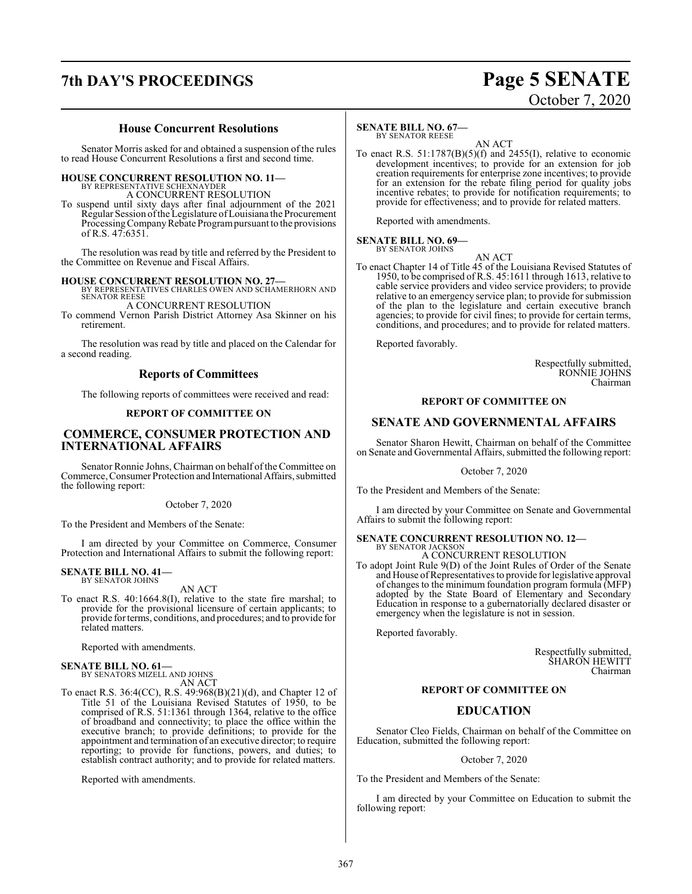# **7th DAY'S PROCEEDINGS Page 5 SENATE**

# October 7, 2020

#### **House Concurrent Resolutions**

Senator Morris asked for and obtained a suspension of the rules to read House Concurrent Resolutions a first and second time.

## **HOUSE CONCURRENT RESOLUTION NO. 11—**

BY REPRESENTATIVE SCHEXNAYDER A CONCURRENT RESOLUTION

To suspend until sixty days after final adjournment of the 2021 Regular Session ofthe Legislature ofLouisiana the Procurement Processing Company Rebate Program pursuant to the provisions of R.S. 47:6351.

The resolution was read by title and referred by the President to the Committee on Revenue and Fiscal Affairs.

**HOUSE CONCURRENT RESOLUTION NO. 27—** BY REPRESENTATIVES CHARLES OWEN AND SCHAMERHORN AND SENATOR REESE

A CONCURRENT RESOLUTION

To commend Vernon Parish District Attorney Asa Skinner on his retirement.

The resolution was read by title and placed on the Calendar for a second reading.

#### **Reports of Committees**

The following reports of committees were received and read:

#### **REPORT OF COMMITTEE ON**

#### **COMMERCE, CONSUMER PROTECTION AND INTERNATIONAL AFFAIRS**

Senator Ronnie Johns, Chairman on behalf of the Committee on Commerce, Consumer Protection and InternationalAffairs, submitted the following report:

#### October 7, 2020

To the President and Members of the Senate:

I am directed by your Committee on Commerce, Consumer Protection and International Affairs to submit the following report:

#### **SENATE BILL NO. 41—** BY SENATOR JOHNS

AN ACT

To enact R.S. 40:1664.8(I), relative to the state fire marshal; to provide for the provisional licensure of certain applicants; to provide for terms, conditions, and procedures; and to provide for related matters.

Reported with amendments.

#### **SENATE BILL NO. 61—** BY SENATORS MIZELL AND JOHNS AN ACT

To enact R.S. 36:4(CC), R.S. 49:968(B)(21)(d), and Chapter 12 of Title 51 of the Louisiana Revised Statutes of 1950, to be comprised of R.S. 51:1361 through 1364, relative to the office of broadband and connectivity; to place the office within the executive branch; to provide definitions; to provide for the appointment and termination of an executive director; to require reporting; to provide for functions, powers, and duties; to establish contract authority; and to provide for related matters.

Reported with amendments.

## **SENATE BILL NO. 67—**

BY SENATOR REESE

AN ACT To enact R.S.  $51:1787(B)(5)(f)$  and  $2455(I)$ , relative to economic development incentives; to provide for an extension for job creation requirements for enterprise zone incentives; to provide for an extension for the rebate filing period for quality jobs incentive rebates; to provide for notification requirements; to provide for effectiveness; and to provide for related matters.

Reported with amendments.

**SENATE BILL NO. 69—** BY SENATOR JOHNS

AN ACT

To enact Chapter 14 of Title 45 of the Louisiana Revised Statutes of 1950, to be comprised of R.S. 45:1611 through 1613, relative to cable service providers and video service providers; to provide relative to an emergency service plan; to provide for submission of the plan to the legislature and certain executive branch agencies; to provide for civil fines; to provide for certain terms, conditions, and procedures; and to provide for related matters.

Reported favorably.

Respectfully submitted, RONNIE JOHNS Chairman

#### **REPORT OF COMMITTEE ON**

## **SENATE AND GOVERNMENTAL AFFAIRS**

Senator Sharon Hewitt, Chairman on behalf of the Committee on Senate and Governmental Affairs, submitted the following report:

October 7, 2020

To the President and Members of the Senate:

I am directed by your Committee on Senate and Governmental Affairs to submit the following report:

#### **SENATE CONCURRENT RESOLUTION NO. 12—** BY SENATOR JACKSON

A CONCURRENT RESOLUTION

To adopt Joint Rule 9(D) of the Joint Rules of Order of the Senate and House of Representatives to provide for legislative approval of changes to the minimum foundation program formula (MFP) adopted by the State Board of Elementary and Secondary Education in response to a gubernatorially declared disaster or emergency when the legislature is not in session.

Reported favorably.

Respectfully submitted, SHARON HEWITT Chairman

#### **REPORT OF COMMITTEE ON**

## **EDUCATION**

Senator Cleo Fields, Chairman on behalf of the Committee on Education, submitted the following report:

October 7, 2020

To the President and Members of the Senate:

I am directed by your Committee on Education to submit the following report: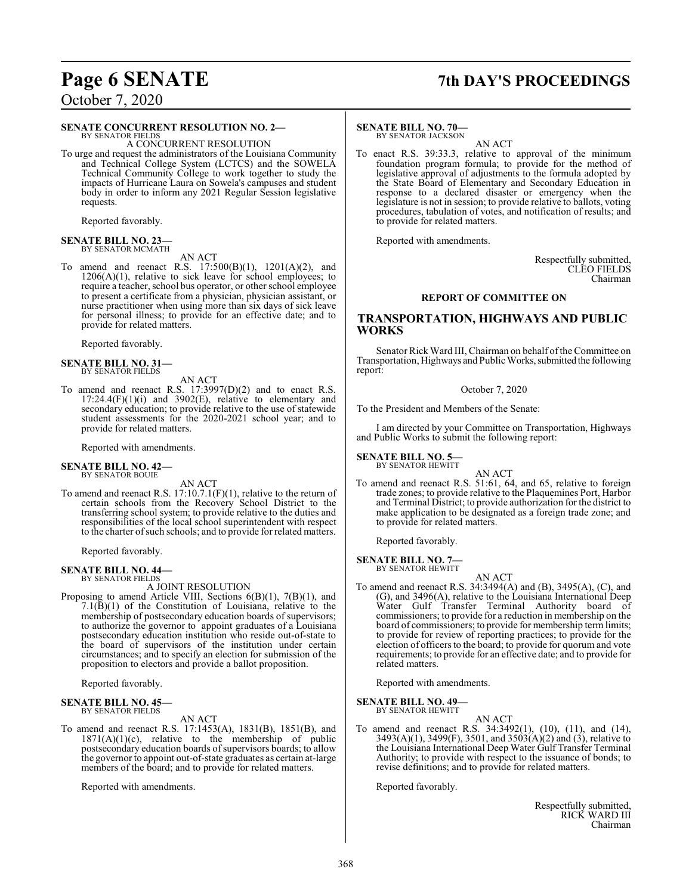#### **SENATE CONCURRENT RESOLUTION NO. 2—**

BY SENATOR FIELDS A CONCURRENT RESOLUTION

To urge and request the administrators of the Louisiana Community and Technical College System (LCTCS) and the SOWELA Technical Community College to work together to study the impacts of Hurricane Laura on Sowela's campuses and student body in order to inform any 2021 Regular Session legislative requests.

Reported favorably.

#### **SENATE BILL NO. 23—** BY SENATOR MCMATH

AN ACT

To amend and reenact R.S. 17:500(B)(1), 1201(A)(2), and  $1206(A)(1)$ , relative to sick leave for school employees; to require a teacher, school bus operator, or other school employee to present a certificate from a physician, physician assistant, or nurse practitioner when using more than six days of sick leave for personal illness; to provide for an effective date; and to provide for related matters.

Reported favorably.

**SENATE BILL NO. 31—** BY SENATOR FIELDS

AN ACT

To amend and reenact R.S. 17:3997(D)(2) and to enact R.S.  $17:24.4(F)(1)(i)$  and  $3902(E)$ , relative to elementary and secondary education; to provide relative to the use of statewide student assessments for the 2020-2021 school year; and to provide for related matters.

Reported with amendments.

# **SENATE BILL NO. 42—**<br>BY SENATOR BOUIE

AN ACT

To amend and reenact R.S. 17:10.7.1(F)(1), relative to the return of certain schools from the Recovery School District to the transferring school system; to provide relative to the duties and responsibilities of the local school superintendent with respect to the charter of such schools; and to provide for related matters.

Reported favorably.

#### **SENATE BILL NO. 44—**

BY SENATOR FIELDS A JOINT RESOLUTION

Proposing to amend Article VIII, Sections 6(B)(1), 7(B)(1), and 7.1(B)(1) of the Constitution of Louisiana, relative to the membership of postsecondary education boards of supervisors; to authorize the governor to appoint graduates of a Louisiana postsecondary education institution who reside out-of-state to the board of supervisors of the institution under certain circumstances; and to specify an election for submission of the proposition to electors and provide a ballot proposition.

Reported favorably.

#### **SENATE BILL NO. 45—** BY SENATOR FIELDS

AN ACT

To amend and reenact R.S. 17:1453(A), 1831(B), 1851(B), and  $1871(A)(1)(c)$ , relative to the membership of public postsecondary education boards of supervisors boards; to allow the governor to appoint out-of-state graduates as certain at-large members of the board; and to provide for related matters.

Reported with amendments.

# **Page 6 SENATE 7th DAY'S PROCEEDINGS**

#### **SENATE BILL NO. 70—**

BY SENATOR JACKSON AN ACT

To enact R.S. 39:33.3, relative to approval of the minimum foundation program formula; to provide for the method of legislative approval of adjustments to the formula adopted by the State Board of Elementary and Secondary Education in response to a declared disaster or emergency when the legislature is not in session; to provide relative to ballots, voting procedures, tabulation of votes, and notification of results; and to provide for related matters.

Reported with amendments.

Respectfully submitted, CLEO FIELDS Chairman

#### **REPORT OF COMMITTEE ON**

#### **TRANSPORTATION, HIGHWAYS AND PUBLIC WORKS**

Senator Rick Ward III, Chairman on behalf of the Committee on Transportation, Highways and Public Works, submitted the following report:

#### October 7, 2020

To the President and Members of the Senate:

I am directed by your Committee on Transportation, Highways and Public Works to submit the following report:

# **SENATE BILL NO. 5—**<br>BY SENATOR HEWITT

- AN ACT
- To amend and reenact R.S. 51:61, 64, and 65, relative to foreign trade zones; to provide relative to the Plaquemines Port, Harbor and Terminal District; to provide authorization for the district to make application to be designated as a foreign trade zone; and to provide for related matters.

Reported favorably.

**SENATE BILL NO. 7—**

BY SENATOR HEWITT AN ACT

To amend and reenact R.S. 34:3494(A) and (B), 3495(A), (C), and (G), and 3496(A), relative to the Louisiana International Deep Water Gulf Transfer Terminal Authority board of commissioners; to provide for a reduction in membership on the board of commissioners; to provide for membership term limits; to provide for review of reporting practices; to provide for the election of officers to the board; to provide for quorum and vote requirements; to provide for an effective date; and to provide for related matters.

Reported with amendments.

#### **SENATE BILL NO. 49—**

BY SENATOR HEWITT AN ACT

To amend and reenact R.S. 34:3492(1), (10), (11), and (14), 3493(A)(1), 3499(F), 3501, and 3503(A)(2) and (3), relative to the Louisiana International Deep Water Gulf Transfer Terminal Authority; to provide with respect to the issuance of bonds; to revise definitions; and to provide for related matters.

Reported favorably.

Respectfully submitted, RICK WARD III Chairman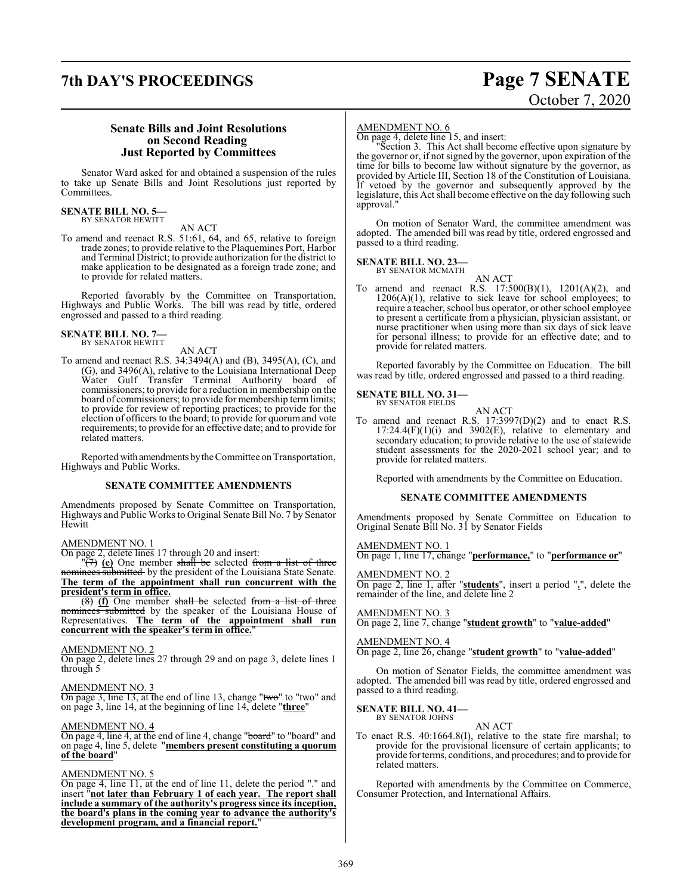# **7th DAY'S PROCEEDINGS Page 7 SENATE**

# October 7, 2020

#### **Senate Bills and Joint Resolutions on Second Reading Just Reported by Committees**

Senator Ward asked for and obtained a suspension of the rules to take up Senate Bills and Joint Resolutions just reported by Committees.

#### **SENATE BILL NO. 5—** BY SENATOR HEWITT

AN ACT

To amend and reenact R.S. 51:61, 64, and 65, relative to foreign trade zones; to provide relative to the Plaquemines Port, Harbor and Terminal District; to provide authorization for the district to make application to be designated as a foreign trade zone; and to provide for related matters.

Reported favorably by the Committee on Transportation, Highways and Public Works. The bill was read by title, ordered engrossed and passed to a third reading.

# **SENATE BILL NO. 7—**<br>BY SENATOR HEWITT

AN ACT

To amend and reenact R.S. 34:3494(A) and (B), 3495(A), (C), and (G), and 3496(A), relative to the Louisiana International Deep Water Gulf Transfer Terminal Authority board of commissioners; to provide for a reduction in membership on the board of commissioners; to provide for membership termlimits; to provide for review of reporting practices; to provide for the election of officers to the board; to provide for quorum and vote requirements; to provide for an effective date; and to provide for related matters.

Reported with amendments bythe Committee on Transportation, Highways and Public Works.

#### **SENATE COMMITTEE AMENDMENTS**

Amendments proposed by Senate Committee on Transportation, Highways and Public Works to Original Senate Bill No. 7 by Senator **Hewitt** 

#### AMENDMENT NO. 1

On page 2, delete lines 17 through 20 and insert:

 $(\overline{7})$  (e) One member shall be selected from a list of three nominees submitted by the president of the Louisiana State Senate. **The term of the appointment shall run concurrent with the president's term in office.**

(8) **(f)** One member shall be selected from a list of three nominees submitted by the speaker of the Louisiana House of Representatives. **The term of the appointment shall run concurrent with the speaker's term in office.**"

#### AMENDMENT NO. 2

On page 2, delete lines 27 through 29 and on page 3, delete lines 1 through 5

#### AMENDMENT NO. 3

On page 3, line 13, at the end of line 13, change "two" to "two" and on page 3, line 14, at the beginning of line 14, delete "**three**"

#### AMENDMENT NO. 4

On page 4, line 4, at the end of line 4, change "board" to "board" and on page 4, line 5, delete "**members present constituting a quorum of the board**"

#### AMENDMENT NO. 5

On page 4, line 11, at the end of line 11, delete the period "." and insert "**not later than February 1 of each year. The report shall include a summary of the authority's progress since its inception, the board's plans in the coming year to advance the authority's development program, and a financial report.**"

#### AMENDMENT NO. 6

On page 4, delete line 15, and insert:

"Section 3. This Act shall become effective upon signature by the governor or, if not signed by the governor, upon expiration of the time for bills to become law without signature by the governor, as provided by Article III, Section 18 of the Constitution of Louisiana. If vetoed by the governor and subsequently approved by the legislature, this Act shall become effective on the day following such approval."

On motion of Senator Ward, the committee amendment was adopted. The amended bill was read by title, ordered engrossed and passed to a third reading.

#### **SENATE BILL NO. 23—**

BY SENATOR MCMATH

AN ACT To amend and reenact R.S. 17:500(B)(1), 1201(A)(2), and  $1206(A)(1)$ , relative to sick leave for school employees; to require a teacher, school bus operator, or other school employee to present a certificate from a physician, physician assistant, or nurse practitioner when using more than six days of sick leave for personal illness; to provide for an effective date; and to provide for related matters.

Reported favorably by the Committee on Education. The bill was read by title, ordered engrossed and passed to a third reading.

# **SENATE BILL NO. 31—** BY SENATOR FIELDS

AN ACT

To amend and reenact R.S. 17:3997(D)(2) and to enact R.S.  $17:24.4(F)(1)(i)$  and  $3902(E)$ , relative to elementary and secondary education; to provide relative to the use of statewide student assessments for the 2020-2021 school year; and to provide for related matters.

Reported with amendments by the Committee on Education.

#### **SENATE COMMITTEE AMENDMENTS**

Amendments proposed by Senate Committee on Education to Original Senate Bill No. 31 by Senator Fields

#### AMENDMENT NO. 1

On page 1, line 17, change "**performance,**" to "**performance or**"

#### AMENDMENT NO. 2

On page 2, line 1, after "**students**", insert a period "**.**", delete the remainder of the line, and delete line 2

#### AMENDMENT NO. 3

On page 2, line 7, change "**student growth**" to "**value-added**"

#### AMENDMENT NO. 4

On page 2, line 26, change "**student growth**" to "**value-added**"

On motion of Senator Fields, the committee amendment was adopted. The amended bill was read by title, ordered engrossed and passed to a third reading.

#### **SENATE BILL NO. 41—** BY SENATOR JOHNS

AN ACT

To enact R.S. 40:1664.8(I), relative to the state fire marshal; to provide for the provisional licensure of certain applicants; to provide for terms, conditions, and procedures; and to provide for related matters.

Reported with amendments by the Committee on Commerce, Consumer Protection, and International Affairs.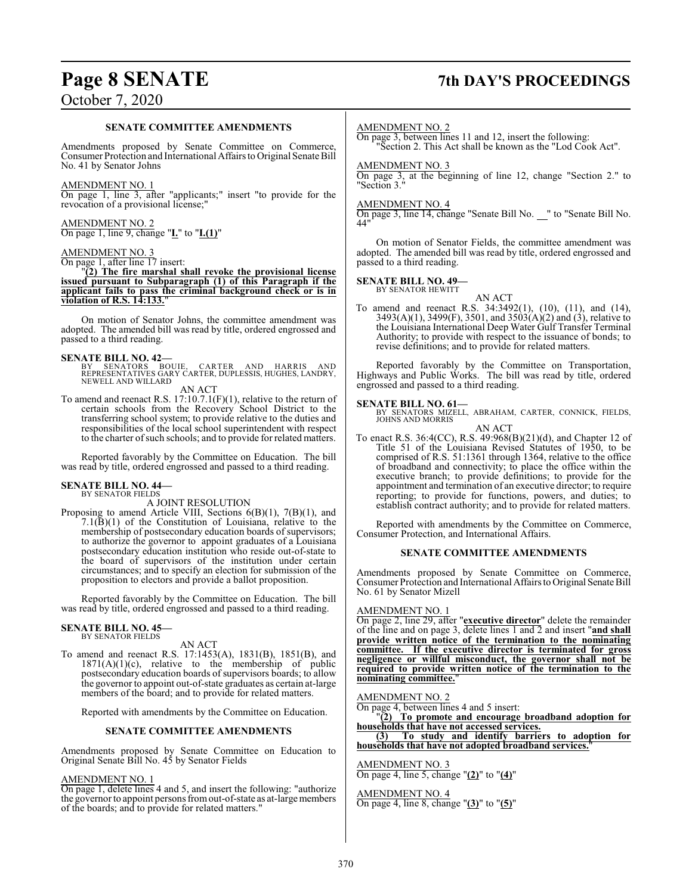# **Page 8 SENATE 7th DAY'S PROCEEDINGS**

#### **SENATE COMMITTEE AMENDMENTS**

Amendments proposed by Senate Committee on Commerce, Consumer Protection and International Affairs to Original Senate Bill No. 41 by Senator Johns

#### AMENDMENT NO. 1

On page 1, line 3, after "applicants;" insert "to provide for the revocation of a provisional license;"

AMENDMENT NO. 2 On page 1, line 9, change "**I.**" to "**I.(1)**"

#### AMENDMENT NO. 3

On page 1, after line 17 insert:

"**(2) The fire marshal shall revoke the provisional license issued pursuant to Subparagraph (1) of this Paragraph if the applicant fails to pass the criminal background check or is in violation of R.S. 14:133.**"

On motion of Senator Johns, the committee amendment was adopted. The amended bill was read by title, ordered engrossed and passed to a third reading.

**SENATE BILL NO. 42—**<br>BY SENATORS BOUIE, CARTER AND HARRIS AND<br>REPRESENTATIVES GARY CARTER, DUPLESSIS, HUGHES, LANDRY,<br>NEWELL AND WILLARD

AN ACT

To amend and reenact R.S. 17:10.7.1(F)(1), relative to the return of certain schools from the Recovery School District to the transferring school system; to provide relative to the duties and responsibilities of the local school superintendent with respect to the charter of such schools; and to provide for related matters.

Reported favorably by the Committee on Education. The bill was read by title, ordered engrossed and passed to a third reading.

#### **SENATE BILL NO. 44—** BY SENATOR FIELDS

A JOINT RESOLUTION

Proposing to amend Article VIII, Sections 6(B)(1), 7(B)(1), and 7.1( $\bar{B}$ )(1) of the Constitution of Louisiana, relative to the membership of postsecondary education boards of supervisors; to authorize the governor to appoint graduates of a Louisiana postsecondary education institution who reside out-of-state to the board of supervisors of the institution under certain circumstances; and to specify an election for submission of the proposition to electors and provide a ballot proposition.

Reported favorably by the Committee on Education. The bill was read by title, ordered engrossed and passed to a third reading.

#### **SENATE BILL NO. 45—** BY SENATOR FIELDS

AN ACT

To amend and reenact R.S. 17:1453(A), 1831(B), 1851(B), and  $1871(A)(1)(c)$ , relative to the membership of public postsecondary education boards of supervisors boards; to allow the governor to appoint out-of-state graduates as certain at-large members of the board; and to provide for related matters.

Reported with amendments by the Committee on Education.

#### **SENATE COMMITTEE AMENDMENTS**

Amendments proposed by Senate Committee on Education to Original Senate Bill No. 45 by Senator Fields

#### AMENDMENT NO. 1

On page 1, delete lines 4 and 5, and insert the following: "authorize the governor to appoint persons from out-of-state as at-large members of the boards; and to provide for related matters."

#### AMENDMENT NO. 2

On page 3, between lines 11 and 12, insert the following: "Section 2. This Act shall be known as the "Lod Cook Act".

#### AMENDMENT NO. 3

On page 3, at the beginning of line 12, change "Section 2." to "Section 3."

#### AMENDMENT NO. 4

On page 3, line 14, change "Senate Bill No. " to "Senate Bill No. 44"

On motion of Senator Fields, the committee amendment was adopted. The amended bill was read by title, ordered engrossed and passed to a third reading.

# **SENATE BILL NO. 49—**<br>BY SENATOR HEWITT

AN ACT

To amend and reenact R.S. 34:3492(1), (10), (11), and (14), 3493(A)(1), 3499(F), 3501, and 3503(A)(2) and (3), relative to the Louisiana International Deep Water Gulf Transfer Terminal Authority; to provide with respect to the issuance of bonds; to revise definitions; and to provide for related matters.

Reported favorably by the Committee on Transportation, Highways and Public Works. The bill was read by title, ordered engrossed and passed to a third reading.

#### **SENATE BILL NO. 61—**

BY SENATORS MIZELL, ABRAHAM, CARTER, CONNICK, FIELDS, JOHNS AND MORRIS

AN ACT To enact R.S. 36:4(CC), R.S. 49:968(B)(21)(d), and Chapter 12 of Title 51 of the Louisiana Revised Statutes of 1950, to be comprised of R.S. 51:1361 through 1364, relative to the office of broadband and connectivity; to place the office within the executive branch; to provide definitions; to provide for the appointment and termination of an executive director; to require reporting; to provide for functions, powers, and duties; to

establish contract authority; and to provide for related matters.

Reported with amendments by the Committee on Commerce, Consumer Protection, and International Affairs.

#### **SENATE COMMITTEE AMENDMENTS**

Amendments proposed by Senate Committee on Commerce, Consumer Protection and International Affairs to Original Senate Bill No. 61 by Senator Mizell

#### AMENDMENT NO. 1

On page 2, line 29, after "**executive director**" delete the remainder of the line and on page 3, delete lines 1 and 2 and insert "**and shall provide written notice of the termination to the nominating committee. If the executive director is terminated for gross negligence or willful misconduct, the governor shall not be required to provide written notice of the termination to the nominating committee.**"

#### AMENDMENT NO. 2

On page 4, between lines 4 and 5 insert:

"**(2) To promote and encourage broadband adoption for households that have not accessed services.**

**(3) To study and identify barriers to adoption for households that have not adopted broadband services.**"

#### AMENDMENT NO. 3

On page 4, line 5, change "**(2)**" to "**(4)**"

#### AMENDMENT NO. 4

On page 4, line 8, change "**(3)**" to "**(5)**"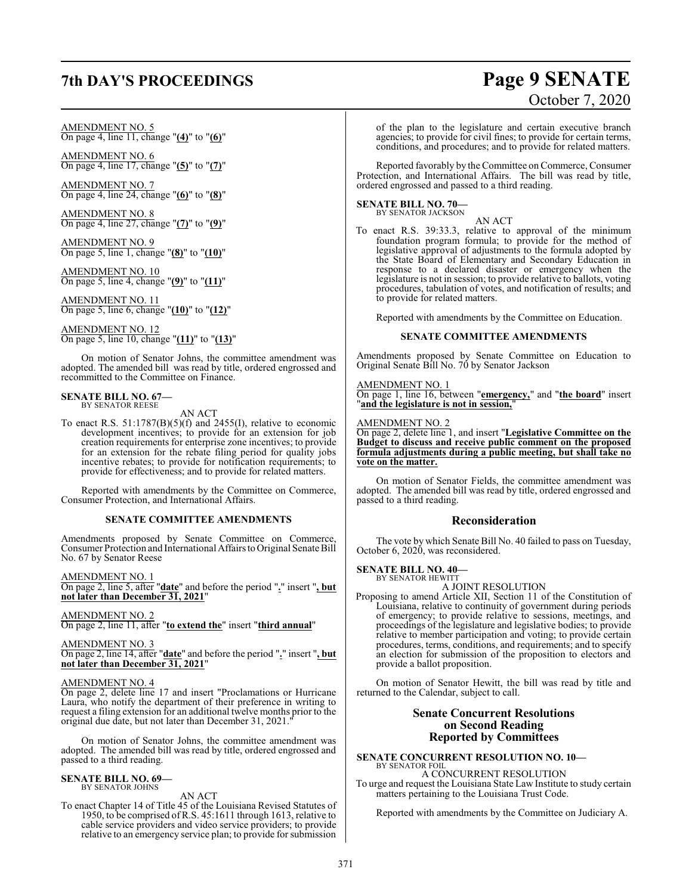# **7th DAY'S PROCEEDINGS Page 9 SENATE**

AMENDMENT NO. 5 On page 4, line 11, change "**(4)**" to "**(6)**"

AMENDMENT NO. 6 On page 4, line 17, change "**(5)**" to "**(7)**"

AMENDMENT NO. 7 On page 4, line 24, change "**(6)**" to "**(8)**"

AMENDMENT NO. 8 On page 4, line 27, change "**(7)**" to "**(9)**"

AMENDMENT NO. 9 On page 5, line 1, change "**(8)**" to "**(10)**"

AMENDMENT NO. 10 On page 5, line 4, change "**(9)**" to "**(11)**"

AMENDMENT NO. 11 On page 5, line 6, change "**(10)**" to "**(12)**"

AMENDMENT NO. 12 On page 5, line 10, change "**(11)**" to "**(13)**"

On motion of Senator Johns, the committee amendment was adopted. The amended bill was read by title, ordered engrossed and recommitted to the Committee on Finance.

#### **SENATE BILL NO. 67—** BY SENATOR REESE

AN ACT

To enact R.S.  $51:1787(B)(5)(f)$  and  $2455(I)$ , relative to economic development incentives; to provide for an extension for job creation requirements for enterprise zone incentives; to provide for an extension for the rebate filing period for quality jobs incentive rebates; to provide for notification requirements; to provide for effectiveness; and to provide for related matters.

Reported with amendments by the Committee on Commerce, Consumer Protection, and International Affairs.

#### **SENATE COMMITTEE AMENDMENTS**

Amendments proposed by Senate Committee on Commerce, Consumer Protection and International Affairs to Original Senate Bill No. 67 by Senator Reese

AMENDMENT NO. 1 On page 2, line 5, after "**date**" and before the period "**.**" insert "**, but not later than December 31, 2021**"

AMENDMENT NO. 2 On page 2, line 11, after "**to extend the**" insert "**third annual**"

AMENDMENT NO. 3 On page 2, line 14, after "**date**" and before the period "**.**" insert "**, but not later than December 31, 2021**"

#### AMENDMENT NO. 4

On page 2, delete line 17 and insert "Proclamations or Hurricane Laura, who notify the department of their preference in writing to request a filing extension for an additional twelve months prior to the original due date, but not later than December 31, 2021.

On motion of Senator Johns, the committee amendment was adopted. The amended bill was read by title, ordered engrossed and passed to a third reading.

# **SENATE BILL NO. 69—** BY SENATOR JOHNS

AN ACT

To enact Chapter 14 of Title 45 of the Louisiana Revised Statutes of 1950, to be comprised ofR.S. 45:1611 through 1613, relative to cable service providers and video service providers; to provide relative to an emergency service plan; to provide for submission

# October 7, 2020

of the plan to the legislature and certain executive branch agencies; to provide for civil fines; to provide for certain terms, conditions, and procedures; and to provide for related matters.

Reported favorably by the Committee on Commerce, Consumer Protection, and International Affairs. The bill was read by title, ordered engrossed and passed to a third reading.

**SENATE BILL NO. 70—** BY SENATOR JACKSON

#### AN ACT

To enact R.S. 39:33.3, relative to approval of the minimum foundation program formula; to provide for the method of legislative approval of adjustments to the formula adopted by the State Board of Elementary and Secondary Education in response to a declared disaster or emergency when the legislature is not in session; to provide relative to ballots, voting procedures, tabulation of votes, and notification of results; and to provide for related matters.

Reported with amendments by the Committee on Education.

#### **SENATE COMMITTEE AMENDMENTS**

Amendments proposed by Senate Committee on Education to Original Senate Bill No. 70 by Senator Jackson

#### AMENDMENT NO. 1

On page 1, line 16, between "**emergency,**" and "**the board**" insert "**and the legislature is not in session,**"

#### AMENDMENT NO. 2

On page 2, delete line 1, and insert "**Legislative Committee on the Budget to discuss and receive public comment on the proposed formula adjustments during a public meeting, but shall take no vote on the matter.**

On motion of Senator Fields, the committee amendment was adopted. The amended bill was read by title, ordered engrossed and passed to a third reading.

#### **Reconsideration**

The vote by which Senate Bill No. 40 failed to pass on Tuesday, October 6, 2020, was reconsidered.

# **SENATE BILL NO. 40—**<br>BY SENATOR HEWITT

A JOINT RESOLUTION

Proposing to amend Article XII, Section 11 of the Constitution of Louisiana, relative to continuity of government during periods of emergency; to provide relative to sessions, meetings, and proceedings of the legislature and legislative bodies; to provide relative to member participation and voting; to provide certain procedures, terms, conditions, and requirements; and to specify an election for submission of the proposition to electors and provide a ballot proposition.

On motion of Senator Hewitt, the bill was read by title and returned to the Calendar, subject to call.

#### **Senate Concurrent Resolutions on Second Reading Reported by Committees**

#### **SENATE CONCURRENT RESOLUTION NO. 10—** BY SENATOR FOIL

A CONCURRENT RESOLUTION To urge and request the Louisiana State Law Institute to study certain matters pertaining to the Louisiana Trust Code.

Reported with amendments by the Committee on Judiciary A.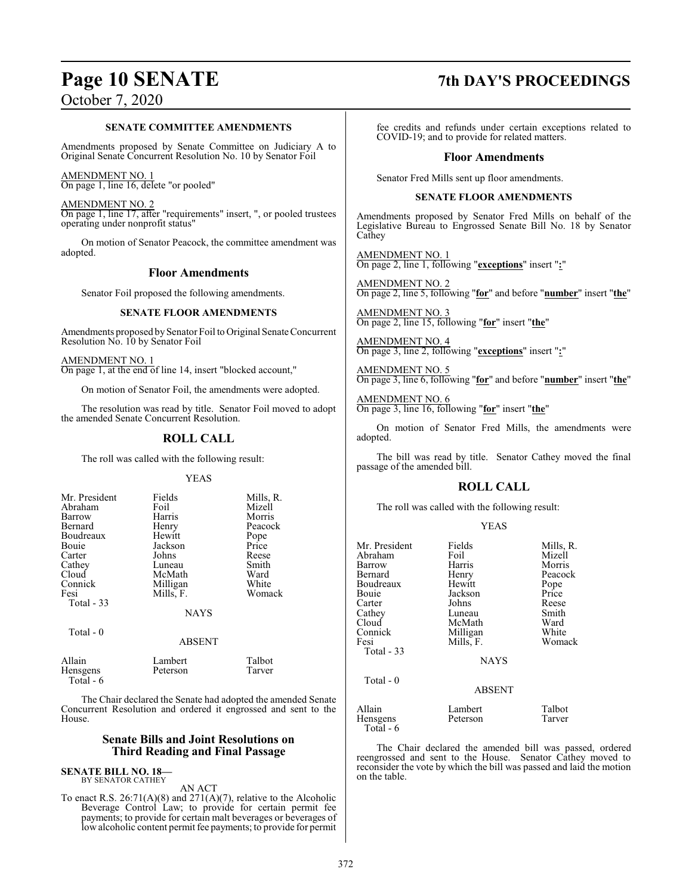#### **SENATE COMMITTEE AMENDMENTS**

Amendments proposed by Senate Committee on Judiciary A to Original Senate Concurrent Resolution No. 10 by Senator Foil

AMENDMENT NO. 1 On page 1, line 16, delete "or pooled"

AMENDMENT NO. 2 On page 1, line 17, after "requirements" insert, ", or pooled trustees operating under nonprofit status"

On motion of Senator Peacock, the committee amendment was adopted.

### **Floor Amendments**

Senator Foil proposed the following amendments.

#### **SENATE FLOOR AMENDMENTS**

Amendments proposed by Senator Foil to Original Senate Concurrent Resolution No. 10 by Senator Foil

AMENDMENT NO. 1 On page 1, at the end of line 14, insert "blocked account,"

On motion of Senator Foil, the amendments were adopted.

The resolution was read by title. Senator Foil moved to adopt the amended Senate Concurrent Resolution.

## **ROLL CALL**

The roll was called with the following result:

#### YEAS

| Mr. President | Fields        | Mills, R. |
|---------------|---------------|-----------|
| Abraham       | Foil          | Mizell    |
| Barrow        | Harris        | Morris    |
| Bernard       | Henry         | Peacock   |
| Boudreaux     | Hewitt        | Pope      |
| Bouie         | Jackson       | Price     |
| Carter        | Johns         | Reese     |
| Cathey        | Luneau        | Smith     |
| Cloud         | McMath        | Ward      |
| Connick       | Milligan      | White     |
| Fesi          | Mills, F.     | Womack    |
| Total - 33    |               |           |
|               | <b>NAYS</b>   |           |
| Total - 0     |               |           |
|               | <b>ABSENT</b> |           |
| Allain        | Lambert       | Talbot    |
| Hensgens      | Peterson      | Tarver    |

Hensgens Total - 6 The Chair declared the Senate had adopted the amended Senate Concurrent Resolution and ordered it engrossed and sent to the

# House. **Senate Bills and Joint Resolutions on**

## **Third Reading and Final Passage**

**SENATE BILL NO. 18—** BY SENATOR CATHEY

#### AN ACT

To enact R.S. 26:71(A)(8) and 271(A)(7), relative to the Alcoholic Beverage Control Law; to provide for certain permit fee payments; to provide for certain malt beverages or beverages of low alcoholic content permit fee payments; to provide for permit

# **Page 10 SENATE 7th DAY'S PROCEEDINGS**

fee credits and refunds under certain exceptions related to COVID-19; and to provide for related matters.

#### **Floor Amendments**

Senator Fred Mills sent up floor amendments.

#### **SENATE FLOOR AMENDMENTS**

Amendments proposed by Senator Fred Mills on behalf of the Legislative Bureau to Engrossed Senate Bill No. 18 by Senator Cathey

AMENDMENT NO. 1 On page 2, line 1, following "**exceptions**" insert "**:**"

AMENDMENT NO. 2 On page 2, line 5, following "**for**" and before "**number**" insert "**the**"

AMENDMENT NO. 3 On page 2, line 15, following "**for**" insert "**the**"

AMENDMENT NO. 4 On page 3, line 2, following "**exceptions**" insert "**:**"

AMENDMENT NO. 5 On page 3, line 6, following "**for**" and before "**number**" insert "**the**"

AMENDMENT NO. 6 On page 3, line 16, following "**for**" insert "**the**"

On motion of Senator Fred Mills, the amendments were adopted.

The bill was read by title. Senator Cathey moved the final passage of the amended bill.

### **ROLL CALL**

The roll was called with the following result:

|                                                                                                                                   | <b>YEAS</b>                                                                                                                 |                                                                                                        |
|-----------------------------------------------------------------------------------------------------------------------------------|-----------------------------------------------------------------------------------------------------------------------------|--------------------------------------------------------------------------------------------------------|
| Mr. President<br>Abraham<br>Barrow<br>Bernard<br>Boudreaux<br>Bouie<br>Carter<br>Cathey<br>Cloud<br>Connick<br>Fesi<br>Total - 33 | Fields<br>Foil<br>Harris<br>Henry<br>Hewitt<br>Jackson<br>Johns<br>Luneau<br>McMath<br>Milligan<br>Mills, F.<br><b>NAYS</b> | Mills, R.<br>Mizell<br>Morris<br>Peacock<br>Pope<br>Price<br>Reese<br>Smith<br>Ward<br>White<br>Womack |
| Total - 0                                                                                                                         | ABSENT                                                                                                                      |                                                                                                        |
| Allain<br>Hensgens                                                                                                                | Lambert<br>Peterson                                                                                                         | Talbot<br>Tarver                                                                                       |

The Chair declared the amended bill was passed, ordered reengrossed and sent to the House. Senator Cathey moved to reconsider the vote by which the bill was passed and laid the motion on the table.

Total - 6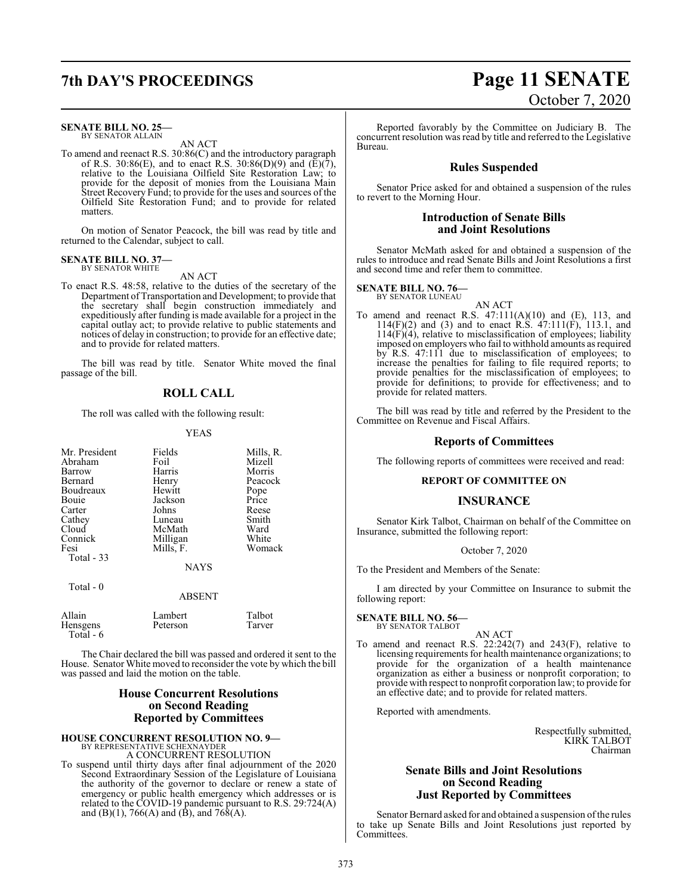#### **SENATE BILL NO. 25—** BY SENATOR ALLAIN

AN ACT

To amend and reenact R.S. 30:86(C) and the introductory paragraph of R.S. 30:86(E), and to enact R.S. 30:86(D)(9) and (E)(7), relative to the Louisiana Oilfield Site Restoration Law; to provide for the deposit of monies from the Louisiana Main Street Recovery Fund; to provide for the uses and sources of the Oilfield Site Restoration Fund; and to provide for related matters.

On motion of Senator Peacock, the bill was read by title and returned to the Calendar, subject to call.

#### **SENATE BILL NO. 37—** BY SENATOR WHITE

AN ACT

To enact R.S. 48:58, relative to the duties of the secretary of the Department of Transportation and Development; to provide that the secretary shall begin construction immediately and expeditiously after funding is made available for a project in the capital outlay act; to provide relative to public statements and notices of delay in construction; to provide for an effective date; and to provide for related matters.

The bill was read by title. Senator White moved the final passage of the bill.

#### **ROLL CALL**

The roll was called with the following result:

#### YEAS

| Mr. President<br>Abraham<br>Barrow<br>Bernard<br>Boudreaux<br>Bouie<br>Carter<br>Cathey<br>Cloud<br>Connick<br>Fesi<br><b>Total - 33</b> | Fields<br>Foil<br>Harris<br>Henry<br>Hewitt<br>Jackson<br>Johns<br>Luneau<br>McMath<br>Milligan<br>Mills, F. | Mills, R.<br>Mizell<br>Morris<br>Peacock<br>Pope<br>Price<br>Reese<br>Smith<br>Ward<br>White<br>Womack |
|------------------------------------------------------------------------------------------------------------------------------------------|--------------------------------------------------------------------------------------------------------------|--------------------------------------------------------------------------------------------------------|
|                                                                                                                                          | <b>NAYS</b>                                                                                                  |                                                                                                        |
| Total $-0$                                                                                                                               | <b>ABSENT</b>                                                                                                |                                                                                                        |
| Allain<br><b>Hensgens</b><br>Total - 6                                                                                                   | Lambert<br>Peterson                                                                                          | Talbot<br>Tarver                                                                                       |

The Chair declared the bill was passed and ordered it sent to the House. Senator White moved to reconsider the vote by which the bill was passed and laid the motion on the table.

#### **House Concurrent Resolutions on Second Reading Reported by Committees**

# **HOUSE CONCURRENT RESOLUTION NO. 9—** BY REPRESENTATIVE SCHEXNAYDER A CONCURRENT RESOLUTION

To suspend until thirty days after final adjournment of the 2020 Second Extraordinary Session of the Legislature of Louisiana the authority of the governor to declare or renew a state of emergency or public health emergency which addresses or is related to the COVID-19 pandemic pursuant to R.S. 29:724(A) and (B)(1), 766(A) and (B), and 768(A).

# **7th DAY'S PROCEEDINGS Page 11 SENATE** October 7, 2020

Reported favorably by the Committee on Judiciary B. The concurrent resolution was read by title and referred to the Legislative Bureau.

## **Rules Suspended**

Senator Price asked for and obtained a suspension of the rules to revert to the Morning Hour.

#### **Introduction of Senate Bills and Joint Resolutions**

Senator McMath asked for and obtained a suspension of the rules to introduce and read Senate Bills and Joint Resolutions a first and second time and refer them to committee.

#### **SENATE BILL NO. 76—**

BY SENATOR LUNEAU AN ACT

To amend and reenact R.S.  $47:111(A)(10)$  and  $(E)$ , 113, and  $114(F)(2)$  and (3) and to enact R.S.  $47:111(F)$ , 113.1, and  $114(F)(4)$ , relative to misclassification of employees; liability imposed on employers who fail to withhold amounts as required by R.S. 47:111 due to misclassification of employees; to increase the penalties for failing to file required reports; to provide penalties for the misclassification of employees; to provide for definitions; to provide for effectiveness; and to provide for related matters.

The bill was read by title and referred by the President to the Committee on Revenue and Fiscal Affairs.

#### **Reports of Committees**

The following reports of committees were received and read:

#### **REPORT OF COMMITTEE ON**

#### **INSURANCE**

Senator Kirk Talbot, Chairman on behalf of the Committee on Insurance, submitted the following report:

#### October 7, 2020

To the President and Members of the Senate:

I am directed by your Committee on Insurance to submit the following report:

#### **SENATE BILL NO. 56—** BY SENATOR TALBOT

AN ACT

To amend and reenact R.S. 22:242(7) and 243(F), relative to licensing requirements for health maintenance organizations; to provide for the organization of a health maintenance organization as either a business or nonprofit corporation; to provide with respect to nonprofit corporation law; to provide for an effective date; and to provide for related matters.

Reported with amendments.

Respectfully submitted, KIRK TALBOT Chairman

#### **Senate Bills and Joint Resolutions on Second Reading Just Reported by Committees**

Senator Bernard asked for and obtained a suspension ofthe rules to take up Senate Bills and Joint Resolutions just reported by Committees.